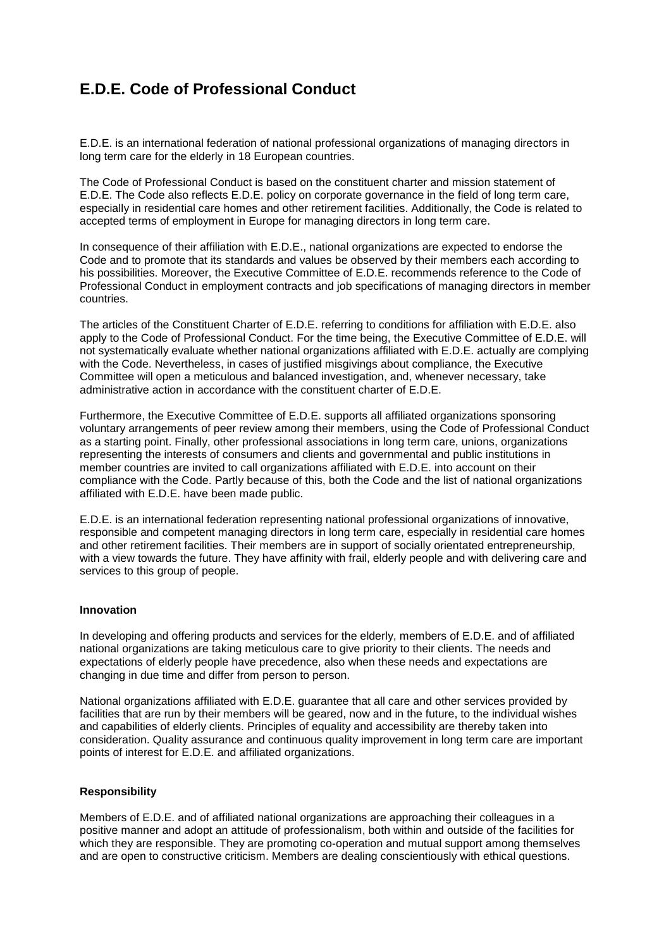## **E.D.E. Code of Professional Conduct**

E.D.E. is an international federation of national professional organizations of managing directors in long term care for the elderly in 18 European countries.

The Code of Professional Conduct is based on the constituent charter and mission statement of E.D.E. The Code also reflects E.D.E. policy on corporate governance in the field of long term care, especially in residential care homes and other retirement facilities. Additionally, the Code is related to accepted terms of employment in Europe for managing directors in long term care.

In consequence of their affiliation with E.D.E., national organizations are expected to endorse the Code and to promote that its standards and values be observed by their members each according to his possibilities. Moreover, the Executive Committee of E.D.E. recommends reference to the Code of Professional Conduct in employment contracts and job specifications of managing directors in member countries.

The articles of the Constituent Charter of E.D.E. referring to conditions for affiliation with E.D.E. also apply to the Code of Professional Conduct. For the time being, the Executive Committee of E.D.E. will not systematically evaluate whether national organizations affiliated with E.D.E. actually are complying with the Code. Nevertheless, in cases of justified misgivings about compliance, the Executive Committee will open a meticulous and balanced investigation, and, whenever necessary, take administrative action in accordance with the constituent charter of E.D.E.

Furthermore, the Executive Committee of E.D.E. supports all affiliated organizations sponsoring voluntary arrangements of peer review among their members, using the Code of Professional Conduct as a starting point. Finally, other professional associations in long term care, unions, organizations representing the interests of consumers and clients and governmental and public institutions in member countries are invited to call organizations affiliated with E.D.E. into account on their compliance with the Code. Partly because of this, both the Code and the list of national organizations affiliated with E.D.E. have been made public.

E.D.E. is an international federation representing national professional organizations of innovative, responsible and competent managing directors in long term care, especially in residential care homes and other retirement facilities. Their members are in support of socially orientated entrepreneurship, with a view towards the future. They have affinity with frail, elderly people and with delivering care and services to this group of people.

## **Innovation**

In developing and offering products and services for the elderly, members of E.D.E. and of affiliated national organizations are taking meticulous care to give priority to their clients. The needs and expectations of elderly people have precedence, also when these needs and expectations are changing in due time and differ from person to person.

National organizations affiliated with E.D.E. guarantee that all care and other services provided by facilities that are run by their members will be geared, now and in the future, to the individual wishes and capabilities of elderly clients. Principles of equality and accessibility are thereby taken into consideration. Quality assurance and continuous quality improvement in long term care are important points of interest for E.D.E. and affiliated organizations.

## **Responsibility**

Members of E.D.E. and of affiliated national organizations are approaching their colleagues in a positive manner and adopt an attitude of professionalism, both within and outside of the facilities for which they are responsible. They are promoting co-operation and mutual support among themselves and are open to constructive criticism. Members are dealing conscientiously with ethical questions.